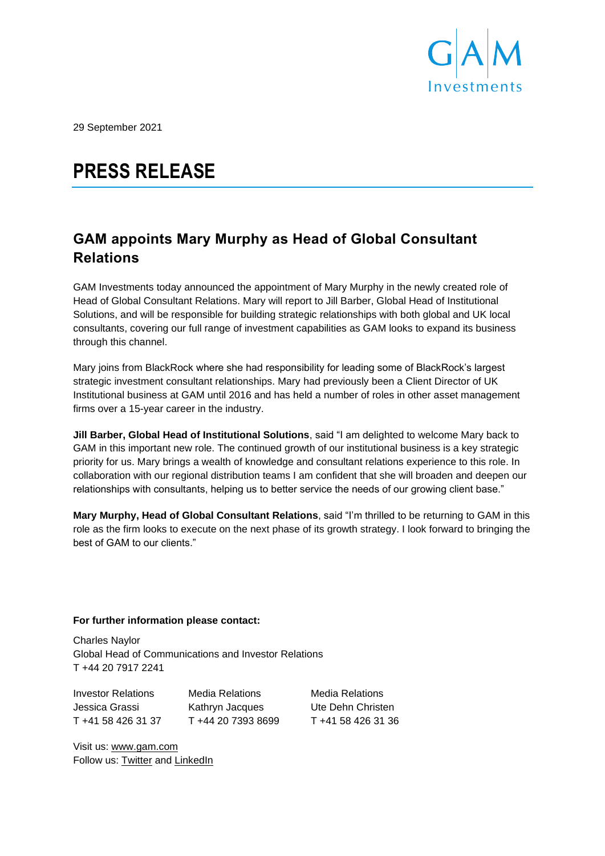

29 September 2021

# **PRESS RELEASE**

## **GAM appoints Mary Murphy as Head of Global Consultant Relations**

GAM Investments today announced the appointment of Mary Murphy in the newly created role of Head of Global Consultant Relations. Mary will report to Jill Barber, Global Head of Institutional Solutions, and will be responsible for building strategic relationships with both global and UK local consultants, covering our full range of investment capabilities as GAM looks to expand its business through this channel.

Mary joins from BlackRock where she had responsibility for leading some of BlackRock's largest strategic investment consultant relationships. Mary had previously been a Client Director of UK Institutional business at GAM until 2016 and has held a number of roles in other asset management firms over a 15-year career in the industry.

**Jill Barber, Global Head of Institutional Solutions**, said "I am delighted to welcome Mary back to GAM in this important new role. The continued growth of our institutional business is a key strategic priority for us. Mary brings a wealth of knowledge and consultant relations experience to this role. In collaboration with our regional distribution teams I am confident that she will broaden and deepen our relationships with consultants, helping us to better service the needs of our growing client base."

**Mary Murphy, Head of Global Consultant Relations**, said "I'm thrilled to be returning to GAM in this role as the firm looks to execute on the next phase of its growth strategy. I look forward to bringing the best of GAM to our clients."

### **For further information please contact:**

Charles Naylor Global Head of Communications and Investor Relations T +44 20 7917 2241

Investor Relations Media Relations Media Relations Jessica Grassi Kathryn Jacques Ute Dehn Christen T +41 58 426 31 37 T +44 20 7393 8699 T +41 58 426 31 36

Visit us: [www.gam.com](http://www.gam.com/) Follow us: [Twitter](https://twitter.com/gaminsights) and [LinkedIn](https://www.linkedin.com/company/gam-investments/)